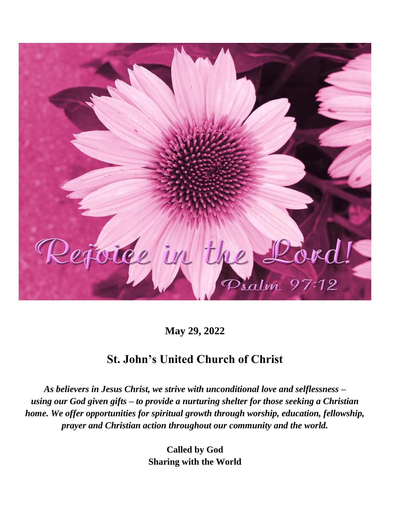

**May 29, 2022**

# **St. John's United Church of Christ**

*As believers in Jesus Christ, we strive with unconditional love and selflessness – using our God given gifts – to provide a nurturing shelter for those seeking a Christian home. We offer opportunities for spiritual growth through worship, education, fellowship, prayer and Christian action throughout our community and the world.*

> **Called by God Sharing with the World**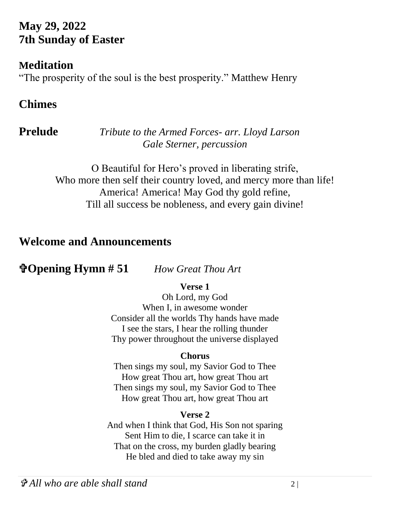## **May 29, 2022 7th Sunday of Easter**

#### **Meditation**

"The prosperity of the soul is the best prosperity." Matthew Henry

# **Chimes**

**Prelude** *Tribute to the Armed Forces- arr. Lloyd Larson Gale Sterner, percussion*

> O Beautiful for Hero's proved in liberating strife, Who more then self their country loved, and mercy more than life! America! America! May God thy gold refine, Till all success be nobleness, and every gain divine!

# **Welcome and Announcements**

**Opening Hymn # 51** *How Great Thou Art*

#### **Verse 1**

Oh Lord, my God When I, in awesome wonder Consider all the worlds Thy hands have made I see the stars, I hear the rolling thunder Thy power throughout the universe displayed

#### **Chorus**

Then sings my soul, my Savior God to Thee How great Thou art, how great Thou art Then sings my soul, my Savior God to Thee How great Thou art, how great Thou art

#### **Verse 2**

And when I think that God, His Son not sparing Sent Him to die, I scarce can take it in That on the cross, my burden gladly bearing He bled and died to take away my sin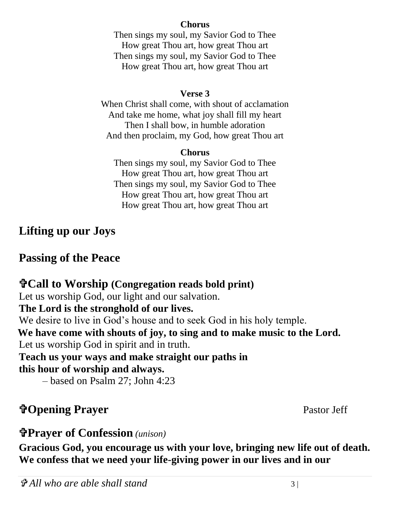#### **Chorus**

Then sings my soul, my Savior God to Thee How great Thou art, how great Thou art Then sings my soul, my Savior God to Thee How great Thou art, how great Thou art

#### **Verse 3**

When Christ shall come, with shout of acclamation And take me home, what joy shall fill my heart Then I shall bow, in humble adoration And then proclaim, my God, how great Thou art

#### **Chorus**

Then sings my soul, my Savior God to Thee How great Thou art, how great Thou art Then sings my soul, my Savior God to Thee How great Thou art, how great Thou art How great Thou art, how great Thou art

# **Lifting up our Joys**

# **Passing of the Peace**

# **Call to Worship (Congregation reads bold print)**

Let us worship God, our light and our salvation.

#### **The Lord is the stronghold of our lives.**

We desire to live in God's house and to seek God in his holy temple.

 **We have come with shouts of joy, to sing and to make music to the Lord.**

Let us worship God in spirit and in truth.

#### **Teach us your ways and make straight our paths in**

#### **this hour of worship and always.**

– based on Psalm 27; John 4:23

# **The Opening Prayer Service Service Service Service Service Service Service Service Service Service Service Service Service Service Service Service Service Service Service Service Service Service Service Service Service Se**

## **Prayer of Confession** *(unison)*

**Gracious God, you encourage us with your love, bringing new life out of death. We confess that we need your life-giving power in our lives and in our**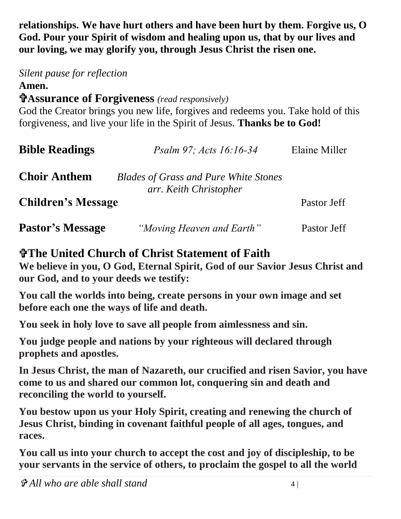**relationships. We have hurt others and have been hurt by them. Forgive us, O God. Pour your Spirit of wisdom and healing upon us, that by our lives and our loving, we may glorify you, through Jesus Christ the risen one.**

*Silent pause for reflection*  **Amen. Assurance of Forgiveness** *(read responsively)* God the Creator brings you new life, forgives and redeems you. Take hold of this forgiveness, and live your life in the Spirit of Jesus. **Thanks be to God! Bible Readings** *Psalm 97; Acts 16:16-34* Elaine Miller **Choir Anthem** *Blades of Grass and Pure White Stones arr. Keith Christopher* **Children's Message Pastor Jeff Pastor's Message** *"Moving Heaven and Earth"*Pastor Jeff

# **The United Church of Christ Statement of Faith**

**We believe in you, O God, Eternal Spirit, God of our Savior Jesus Christ and our God, and to your deeds we testify:**

**You call the worlds into being, create persons in your own image and set before each one the ways of life and death.**

**You seek in holy love to save all people from aimlessness and sin.**

**You judge people and nations by your righteous will declared through prophets and apostles.**

**In Jesus Christ, the man of Nazareth, our crucified and risen Savior, you have come to us and shared our common lot, conquering sin and death and reconciling the world to yourself.**

**You bestow upon us your Holy Spirit, creating and renewing the church of Jesus Christ, binding in covenant faithful people of all ages, tongues, and races.**

**You call us into your church to accept the cost and joy of discipleship, to be your servants in the service of others, to proclaim the gospel to all the world**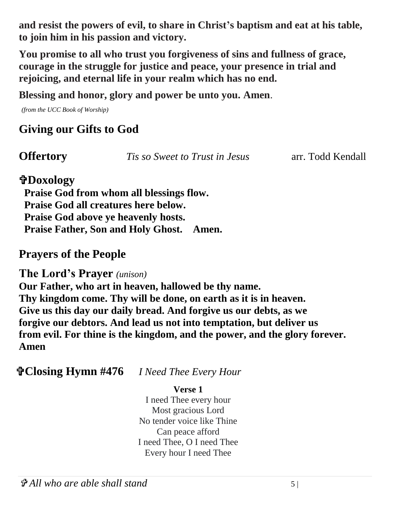**and resist the powers of evil, to share in Christ's baptism and eat at his table, to join him in his passion and victory.**

**You promise to all who trust you forgiveness of sins and fullness of grace, courage in the struggle for justice and peace, your presence in trial and rejoicing, and eternal life in your realm which has no end.**

**Blessing and honor, glory and power be unto you. Amen**.

*(from the UCC Book of Worship)*

## **Giving our Gifts to God**

**Offertory** *Tis so Sweet to Trust in Jesus* arr. Todd Kendall

#### **Doxology**

 **Praise God from whom all blessings flow. Praise God all creatures here below. Praise God above ye heavenly hosts. Praise Father, Son and Holy Ghost. Amen.** 

#### **Prayers of the People**

**The Lord's Prayer** *(unison)*

**Our Father, who art in heaven, hallowed be thy name. Thy kingdom come. Thy will be done, on earth as it is in heaven. Give us this day our daily bread. And forgive us our debts, as we forgive our debtors. And lead us not into temptation, but deliver us from evil. For thine is the kingdom, and the power, and the glory forever. Amen**

**Closing Hymn #476** *I Need Thee Every Hour*

#### **Verse 1**

I need Thee every hour Most gracious Lord No tender voice like Thine Can peace afford I need Thee, O I need Thee Every hour I need Thee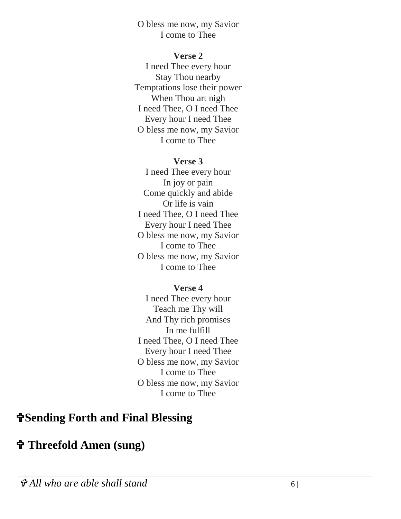O bless me now, my Savior I come to Thee

#### **Verse 2**

I need Thee every hour Stay Thou nearby Temptations lose their power When Thou art nigh I need Thee, O I need Thee Every hour I need Thee O bless me now, my Savior I come to Thee

#### **Verse 3**

I need Thee every hour In joy or pain Come quickly and abide Or life is vain I need Thee, O I need Thee Every hour I need Thee O bless me now, my Savior I come to Thee O bless me now, my Savior I come to Thee

#### **Verse 4**

I need Thee every hour Teach me Thy will And Thy rich promises In me fulfill I need Thee, O I need Thee Every hour I need Thee O bless me now, my Savior I come to Thee O bless me now, my Savior I come to Thee

#### **Sending Forth and Final Blessing**

#### **Threefold Amen (sung)**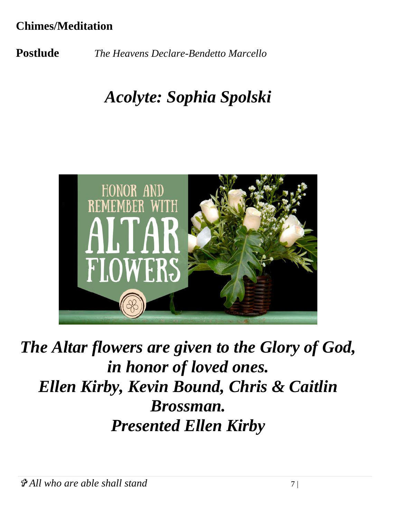#### **Chimes/Meditation**

**Postlude** *The Heavens Declare-Bendetto Marcello*

# *Acolyte: Sophia Spolski*



# *The Altar flowers are given to the Glory of God, in honor of loved ones. Ellen Kirby, Kevin Bound, Chris & Caitlin Brossman. Presented Ellen Kirby*